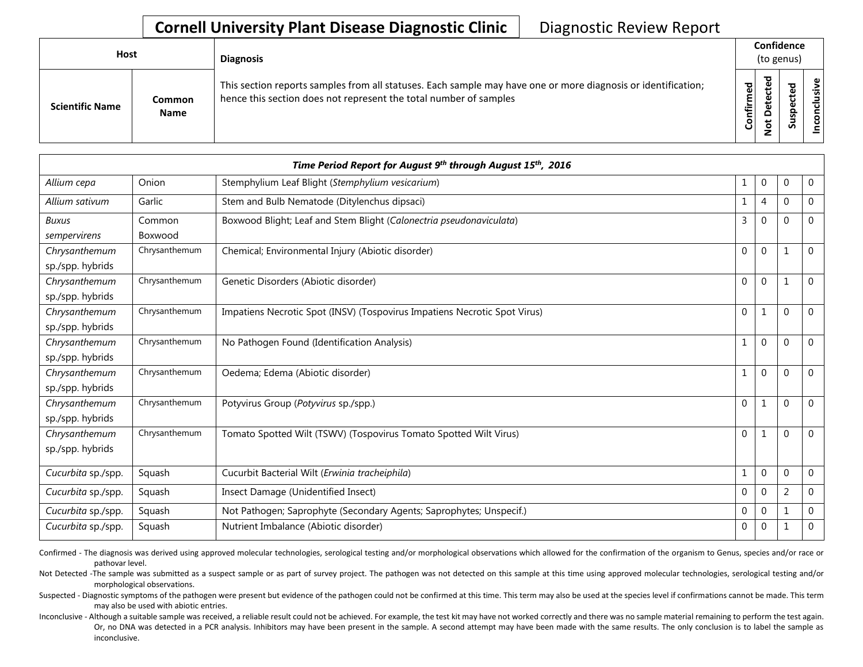## **Cornell University Plant Disease Diagnostic Clinic** | Diagnostic Review Report

| Host                   |                       | <b>Diagnosis</b>                                                                                                                                                                   |           |                                                     | Confidence<br>(to genus) |       |
|------------------------|-----------------------|------------------------------------------------------------------------------------------------------------------------------------------------------------------------------------|-----------|-----------------------------------------------------|--------------------------|-------|
| <b>Scientific Name</b> | <b>Common</b><br>Name | This section reports samples from all statuses. Each sample may have one or more diagnosis or identification;<br>hence this section does not represent the total number of samples | Confirmed | ਠ<br>£<br>ن<br>£<br>$\Omega$<br>$\ddot{\circ}$<br>- | ᅙ<br>ω<br>ᇰ<br>s<br>Ū    | usive |

|                                   |                   | Time Period Report for August 9th through August 15th, 2016               |              |              |                |                |
|-----------------------------------|-------------------|---------------------------------------------------------------------------|--------------|--------------|----------------|----------------|
| Allium cepa                       | Onion             | Stemphylium Leaf Blight (Stemphylium vesicarium)                          | 1            | 0            | $\Omega$       | $\overline{0}$ |
| Allium sativum                    | Garlic            | Stem and Bulb Nematode (Ditylenchus dipsaci)                              | $\mathbf{1}$ | 4            | $\overline{0}$ | $\overline{0}$ |
| <b>Buxus</b><br>sempervirens      | Common<br>Boxwood | Boxwood Blight; Leaf and Stem Blight (Calonectria pseudonaviculata)       | 3            | 0            | $\Omega$       | $\Omega$       |
| Chrysanthemum<br>sp./spp. hybrids | Chrysanthemum     | Chemical; Environmental Injury (Abiotic disorder)                         | $\mathbf 0$  | $\mathbf{0}$ | $\mathbf{1}$   | $\Omega$       |
| Chrysanthemum<br>sp./spp. hybrids | Chrysanthemum     | Genetic Disorders (Abiotic disorder)                                      | $\mathbf 0$  | $\Omega$     | $\mathbf 1$    | $\Omega$       |
| Chrysanthemum<br>sp./spp. hybrids | Chrysanthemum     | Impatiens Necrotic Spot (INSV) (Tospovirus Impatiens Necrotic Spot Virus) | $\mathbf 0$  |              | $\mathbf{0}$   | $\Omega$       |
| Chrysanthemum<br>sp./spp. hybrids | Chrysanthemum     | No Pathogen Found (Identification Analysis)                               | $\mathbf{1}$ | $\mathbf{0}$ | $\Omega$       | $\Omega$       |
| Chrysanthemum<br>sp./spp. hybrids | Chrysanthemum     | Oedema; Edema (Abiotic disorder)                                          | $\mathbf{1}$ | $\mathbf{0}$ | $\mathbf{0}$   | $\Omega$       |
| Chrysanthemum<br>sp./spp. hybrids | Chrysanthemum     | Potyvirus Group (Potyvirus sp./spp.)                                      | $\mathbf 0$  |              | $\Omega$       | $\Omega$       |
| Chrysanthemum<br>sp./spp. hybrids | Chrysanthemum     | Tomato Spotted Wilt (TSWV) (Tospovirus Tomato Spotted Wilt Virus)         | $\mathbf 0$  |              | $\Omega$       | $\Omega$       |
| Cucurbita sp./spp.                | Squash            | Cucurbit Bacterial Wilt (Erwinia tracheiphila)                            | $\mathbf{1}$ | $\Omega$     | $\overline{0}$ | $\overline{0}$ |
| Cucurbita sp./spp.                | Squash            | Insect Damage (Unidentified Insect)                                       | $\mathbf{0}$ | $\Omega$     | 2              | $\Omega$       |
| Cucurbita sp./spp.                | Squash            | Not Pathogen; Saprophyte (Secondary Agents; Saprophytes; Unspecif.)       | $\Omega$     | 0            |                | $\mathbf 0$    |
| Cucurbita sp./spp.                | Squash            | Nutrient Imbalance (Abiotic disorder)                                     | $\mathbf 0$  | 0            |                | 0              |

Confirmed - The diagnosis was derived using approved molecular technologies, serological testing and/or morphological observations which allowed for the confirmation of the organism to Genus, species and/or race or pathovar level.

Not Detected -The sample was submitted as a suspect sample or as part of survey project. The pathogen was not detected on this sample at this time using approved molecular technologies, serological testing and/or morphological observations.

Suspected - Diagnostic symptoms of the pathogen were present but evidence of the pathogen could not be confirmed at this time. This term may also be used at the species level if confirmations cannot be made. This term may also be used with abiotic entries.

Inconclusive - Although a suitable sample was received, a reliable result could not be achieved. For example, the test kit may have not worked correctly and there was no sample material remaining to perform the test again. Or, no DNA was detected in a PCR analysis. Inhibitors may have been present in the sample. A second attempt may have been made with the same results. The only conclusion is to label the sample as inconclusive.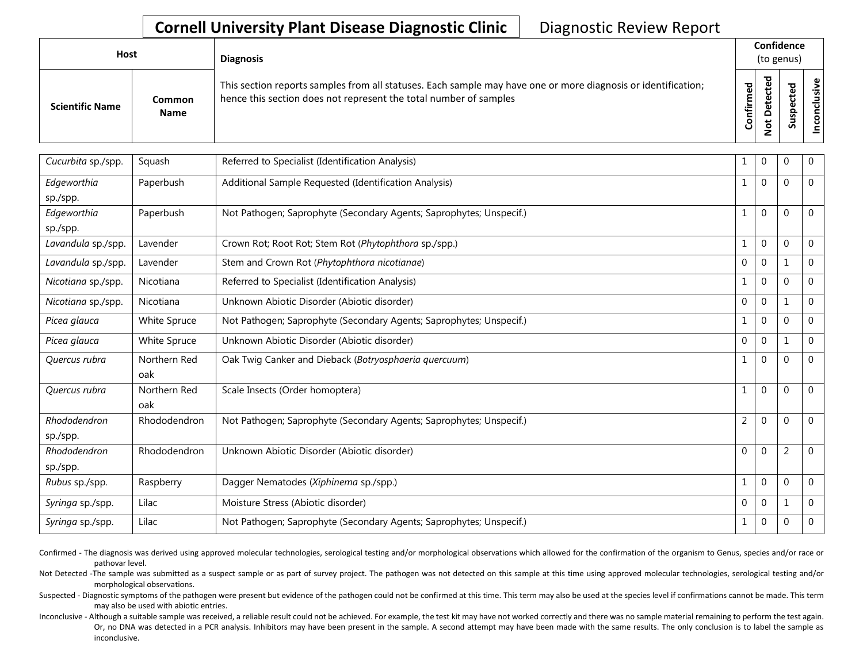## **Cornell University Plant Disease Diagnostic Clinic** | Diagnostic Review Report

| Host                   |                       | <b>Diagnosis</b>                                                                                                                                                                   |           | Confidence<br>(to genus) |  |          |
|------------------------|-----------------------|------------------------------------------------------------------------------------------------------------------------------------------------------------------------------------|-----------|--------------------------|--|----------|
| <b>Scientific Name</b> | Common<br><b>Name</b> | This section reports samples from all statuses. Each sample may have one or more diagnosis or identification;<br>hence this section does not represent the total number of samples | Confirmed | ᇃ<br>$\circ$<br>سه       |  | Φ<br>ั๊ด |

| Cucurbita sp./spp. | Squash       | Referred to Specialist (Identification Analysis)                    | 1              | 0              | $\mathbf 0$    | 0              |
|--------------------|--------------|---------------------------------------------------------------------|----------------|----------------|----------------|----------------|
| Edgeworthia        | Paperbush    | Additional Sample Requested (Identification Analysis)               | 1              | $\Omega$       | $\overline{0}$ | 0              |
| sp./spp.           |              |                                                                     |                |                |                |                |
| Edgeworthia        | Paperbush    | Not Pathogen; Saprophyte (Secondary Agents; Saprophytes; Unspecif.) | $\mathbf{1}$   | $\overline{0}$ | $\overline{0}$ | 0              |
| sp./spp.           |              |                                                                     |                |                |                |                |
| Lavandula sp./spp. | Lavender     | Crown Rot; Root Rot; Stem Rot (Phytophthora sp./spp.)               | $\mathbf{1}$   | 0              | $\overline{0}$ | 0              |
| Lavandula sp./spp. | Lavender     | Stem and Crown Rot (Phytophthora nicotianae)                        | 0              | 0              | $\mathbf{1}$   | 0              |
| Nicotiana sp./spp. | Nicotiana    | Referred to Specialist (Identification Analysis)                    | 1              | 0              | $\overline{0}$ | 0              |
| Nicotiana sp./spp. | Nicotiana    | Unknown Abiotic Disorder (Abiotic disorder)                         | $\mathbf 0$    | 0              | 1              | $\Omega$       |
| Picea glauca       | White Spruce | Not Pathogen; Saprophyte (Secondary Agents; Saprophytes; Unspecif.) | 1              | 0              | $\Omega$       | $\Omega$       |
| Picea glauca       | White Spruce | Unknown Abiotic Disorder (Abiotic disorder)                         | $\mathbf{0}$   | 0              |                | 0              |
| Quercus rubra      | Northern Red | Oak Twig Canker and Dieback (Botryosphaeria quercuum)               | 1              | $\Omega$       | $\overline{0}$ | $\Omega$       |
|                    | oak          |                                                                     |                |                |                |                |
| Quercus rubra      | Northern Red | Scale Insects (Order homoptera)                                     |                | $\Omega$       | $\overline{0}$ | $\Omega$       |
|                    | oak          |                                                                     |                |                |                |                |
| Rhododendron       | Rhododendron | Not Pathogen; Saprophyte (Secondary Agents; Saprophytes; Unspecif.) | $\overline{2}$ | 0              | $\mathbf 0$    | $\overline{0}$ |
| sp./spp.           |              |                                                                     |                |                |                |                |
| Rhododendron       | Rhododendron | Unknown Abiotic Disorder (Abiotic disorder)                         | $\mathbf 0$    | $\Omega$       | $\overline{2}$ | $\overline{0}$ |
| sp./spp.           |              |                                                                     |                |                |                |                |
| Rubus sp./spp.     | Raspberry    | Dagger Nematodes (Xiphinema sp./spp.)                               | 1              | 0              | $\Omega$       | $\Omega$       |
| Syringa sp./spp.   | Lilac        | Moisture Stress (Abiotic disorder)                                  | $\mathbf 0$    | 0              | 1              | 0              |
| Syringa sp./spp.   | Lilac        | Not Pathogen; Saprophyte (Secondary Agents; Saprophytes; Unspecif.) | $\mathbf 1$    | 0              | $\overline{0}$ | 0              |
|                    |              |                                                                     |                |                |                |                |

Confirmed - The diagnosis was derived using approved molecular technologies, serological testing and/or morphological observations which allowed for the confirmation of the organism to Genus, species and/or race or pathovar level.

Not Detected -The sample was submitted as a suspect sample or as part of survey project. The pathogen was not detected on this sample at this time using approved molecular technologies, serological testing and/or morphological observations.

Suspected - Diagnostic symptoms of the pathogen were present but evidence of the pathogen could not be confirmed at this time. This term may also be used at the species level if confirmations cannot be made. This term may also be used with abiotic entries.

Inconclusive - Although a suitable sample was received, a reliable result could not be achieved. For example, the test kit may have not worked correctly and there was no sample material remaining to perform the test again. Or, no DNA was detected in a PCR analysis. Inhibitors may have been present in the sample. A second attempt may have been made with the same results. The only conclusion is to label the sample as inconclusive.